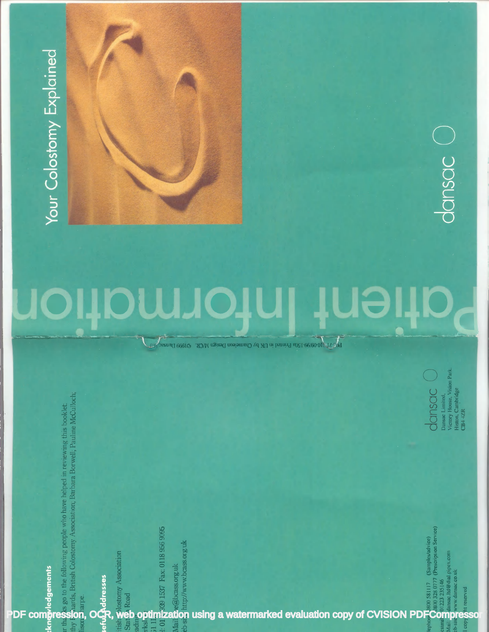Your Colostomy Explained

# 10 UƏ 101 TOI

 $\mathbb{P}^2$  as and  $\mathbb{P}^2$  1500 999 1500  $\mathbb{P}^2$  of  $\mathbb{P}^2$  of  $\mathbb{P}^2$  of  $\mathbb{P}^2$  of  $\mathbb{P}^2$  of  $\mathbb{P}^2$  of  $\mathbb{P}^2$  of  $\mathbb{P}^2$  of  $\mathbb{P}^2$  of  $\mathbb{P}^2$  of  $\mathbb{P}^2$  of  $\mathbb{P}^2$  of  $\mathbb{P}^2$ 

dansac

Dansae Limited,<br>Victory House, Vision Park.<br>Histon, Cambridge<br>CB4 4ZR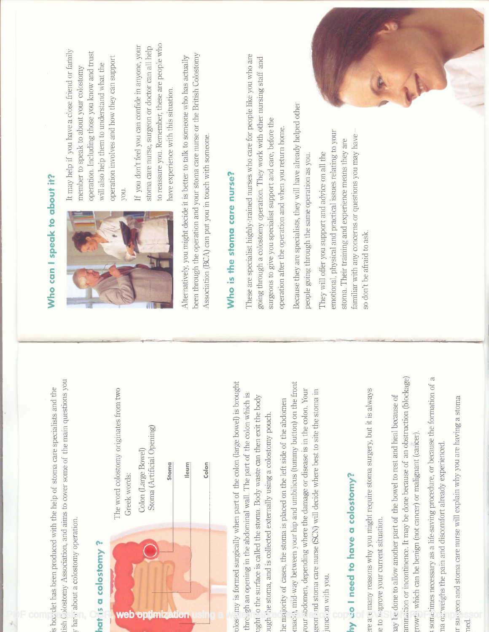



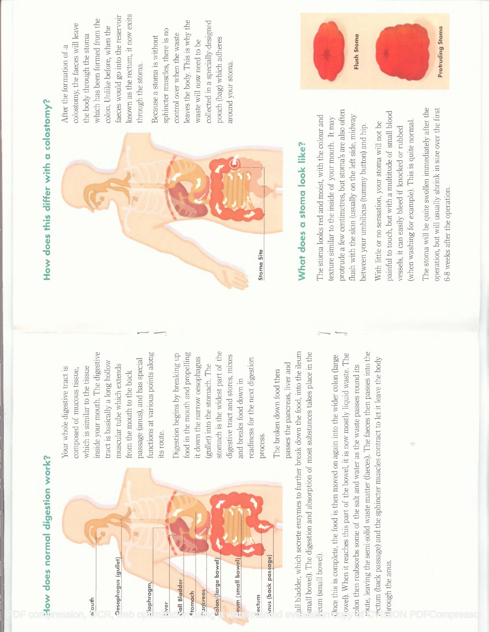

# How does this differ with a colostomy?